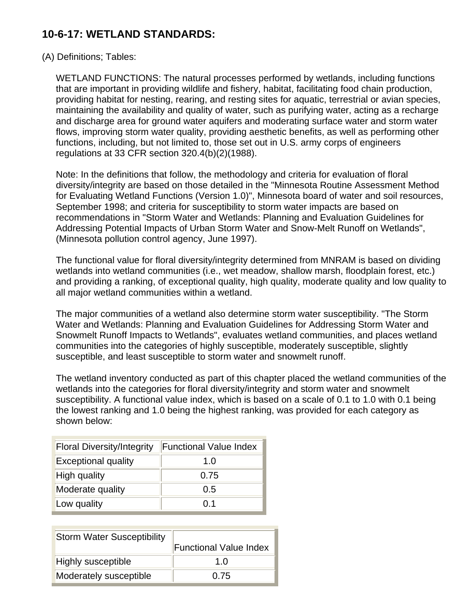## **10-6-17: WETLAND STANDARDS:**

## (A) Definitions; Tables:

WETLAND FUNCTIONS: The natural processes performed by wetlands, including functions that are important in providing wildlife and fishery, habitat, facilitating food chain production, providing habitat for nesting, rearing, and resting sites for aquatic, terrestrial or avian species, maintaining the availability and quality of water, such as purifying water, acting as a recharge and discharge area for ground water aquifers and moderating surface water and storm water flows, improving storm water quality, providing aesthetic benefits, as well as performing other functions, including, but not limited to, those set out in U.S. army corps of engineers regulations at 33 CFR section 320.4(b)(2)(1988).

Note: In the definitions that follow, the methodology and criteria for evaluation of floral diversity/integrity are based on those detailed in the "Minnesota Routine Assessment Method for Evaluating Wetland Functions (Version 1.0)", Minnesota board of water and soil resources, September 1998; and criteria for susceptibility to storm water impacts are based on recommendations in "Storm Water and Wetlands: Planning and Evaluation Guidelines for Addressing Potential Impacts of Urban Storm Water and Snow-Melt Runoff on Wetlands", (Minnesota pollution control agency, June 1997).

The functional value for floral diversity/integrity determined from MNRAM is based on dividing wetlands into wetland communities (i.e., wet meadow, shallow marsh, floodplain forest, etc.) and providing a ranking, of exceptional quality, high quality, moderate quality and low quality to all major wetland communities within a wetland.

The major communities of a wetland also determine storm water susceptibility. "The Storm Water and Wetlands: Planning and Evaluation Guidelines for Addressing Storm Water and Snowmelt Runoff Impacts to Wetlands", evaluates wetland communities, and places wetland communities into the categories of highly susceptible, moderately susceptible, slightly susceptible, and least susceptible to storm water and snowmelt runoff.

The wetland inventory conducted as part of this chapter placed the wetland communities of the wetlands into the categories for floral diversity/integrity and storm water and snowmelt susceptibility. A functional value index, which is based on a scale of 0.1 to 1.0 with 0.1 being the lowest ranking and 1.0 being the highest ranking, was provided for each category as shown below:

| <b>Floral Diversity/Integrity</b> | <b>Functional Value Index</b> |  |  |  |  |
|-----------------------------------|-------------------------------|--|--|--|--|
| <b>Exceptional quality</b>        | 1.0                           |  |  |  |  |
| <b>High quality</b>               | 0.75                          |  |  |  |  |
| Moderate quality                  | 0.5                           |  |  |  |  |
| Low quality                       | በ 1                           |  |  |  |  |

| <b>Storm Water Susceptibility</b> |                               |
|-----------------------------------|-------------------------------|
|                                   | <b>Functional Value Index</b> |
| <b>Highly susceptible</b>         | 1 በ                           |
| Moderately susceptible            | 0.75                          |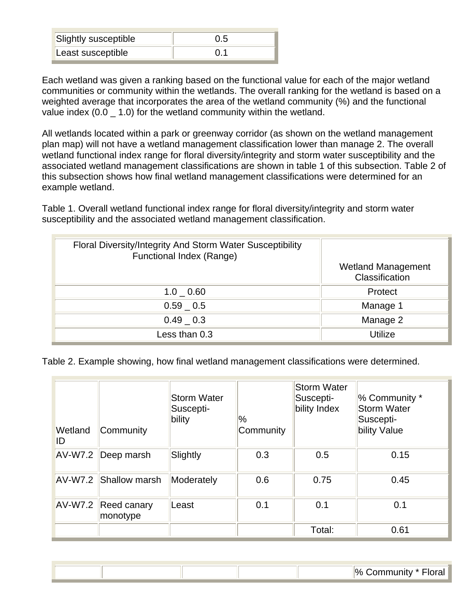| <b>Slightly susceptible</b> | 0.5 |
|-----------------------------|-----|
| Least susceptible           |     |

Each wetland was given a ranking based on the functional value for each of the major wetland communities or community within the wetlands. The overall ranking for the wetland is based on a weighted average that incorporates the area of the wetland community (%) and the functional value index (0.0 - 1.0) for the wetland community within the wetland.

All wetlands located within a park or greenway corridor (as shown on the wetland management plan map) will not have a wetland management classification lower than manage 2. The overall wetland functional index range for floral diversity/integrity and storm water susceptibility and the associated wetland management classifications are shown in table 1 of this subsection. Table 2 of this subsection shows how final wetland management classifications were determined for an example wetland.

Table 1. Overall wetland functional index range for floral diversity/integrity and storm water susceptibility and the associated wetland management classification.

| Floral Diversity/Integrity And Storm Water Susceptibility<br>Functional Index (Range) |                                             |
|---------------------------------------------------------------------------------------|---------------------------------------------|
|                                                                                       | <b>Wetland Management</b><br>Classification |
| $1.0 \quad 0.60$                                                                      | Protect                                     |
| $0.59$ 0.5                                                                            | Manage 1                                    |
| $0.49$ 0.3                                                                            | Manage 2                                    |
| Less than 0.3                                                                         | Utilize                                     |

Table 2. Example showing, how final wetland management classifications were determined.

| Wetland<br>ID | Community               | <b>Storm Water</b><br>Suscepti-<br>bility | $\frac{1}{2}$<br>Community | <b>Storm Water</b><br>Suscepti-<br>bility Index | % Community *<br><b>Storm Water</b><br>Suscepti-<br>bility Value |
|---------------|-------------------------|-------------------------------------------|----------------------------|-------------------------------------------------|------------------------------------------------------------------|
| AV-W7.2       | Deep marsh              | Slightly                                  | 0.3                        | 0.5                                             | 0.15                                                             |
|               | AV-W7.2 Shallow marsh   | Moderately                                | 0.6                        | 0.75                                            | 0.45                                                             |
| AV-W7.2       | Reed canary<br>monotype | Least                                     | 0.1                        | 0.1                                             | 0.1                                                              |
|               |                         |                                           |                            | Total:                                          | 0.61                                                             |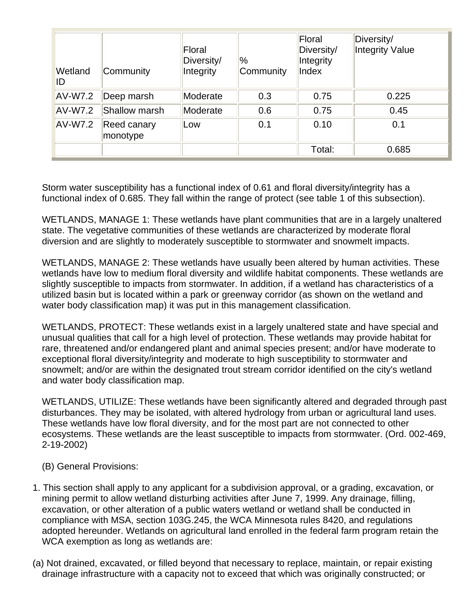| Wetland<br>ID  | Community               | Floral<br>Diversity/<br>Integrity | $\%$<br>Community | Floral<br>Diversity/<br>Integrity<br>Index | Diversity/<br>Integrity Value |
|----------------|-------------------------|-----------------------------------|-------------------|--------------------------------------------|-------------------------------|
| <b>AV-W7.2</b> | Deep marsh              | Moderate                          | 0.3               | 0.75                                       | 0.225                         |
| <b>AV-W7.2</b> | Shallow marsh           | Moderate                          | 0.6               | 0.75                                       | 0.45                          |
| <b>AV-W7.2</b> | Reed canary<br>monotype | Low                               | 0.1               | 0.10                                       | 0.1                           |
|                |                         |                                   |                   | Total:                                     | 0.685                         |

Storm water susceptibility has a functional index of 0.61 and floral diversity/integrity has a functional index of 0.685. They fall within the range of protect (see table 1 of this subsection).

WETLANDS, MANAGE 1: These wetlands have plant communities that are in a largely unaltered state. The vegetative communities of these wetlands are characterized by moderate floral diversion and are slightly to moderately susceptible to stormwater and snowmelt impacts.

WETLANDS, MANAGE 2: These wetlands have usually been altered by human activities. These wetlands have low to medium floral diversity and wildlife habitat components. These wetlands are slightly susceptible to impacts from stormwater. In addition, if a wetland has characteristics of a utilized basin but is located within a park or greenway corridor (as shown on the wetland and water body classification map) it was put in this management classification.

WETLANDS, PROTECT: These wetlands exist in a largely unaltered state and have special and unusual qualities that call for a high level of protection. These wetlands may provide habitat for rare, threatened and/or endangered plant and animal species present; and/or have moderate to exceptional floral diversity/integrity and moderate to high susceptibility to stormwater and snowmelt; and/or are within the designated trout stream corridor identified on the city's wetland and water body classification map.

WETLANDS, UTILIZE: These wetlands have been significantly altered and degraded through past disturbances. They may be isolated, with altered hydrology from urban or agricultural land uses. These wetlands have low floral diversity, and for the most part are not connected to other ecosystems. These wetlands are the least susceptible to impacts from stormwater. (Ord. 002-469, 2-19-2002)

- (B) General Provisions:
- 1. This section shall apply to any applicant for a subdivision approval, or a grading, excavation, or mining permit to allow wetland disturbing activities after June 7, 1999. Any drainage, filling, excavation, or other alteration of a public waters wetland or wetland shall be conducted in compliance with MSA, section 103G.245, the WCA Minnesota rules 8420, and regulations adopted hereunder. Wetlands on agricultural land enrolled in the federal farm program retain the WCA exemption as long as wetlands are:
- (a) Not drained, excavated, or filled beyond that necessary to replace, maintain, or repair existing drainage infrastructure with a capacity not to exceed that which was originally constructed; or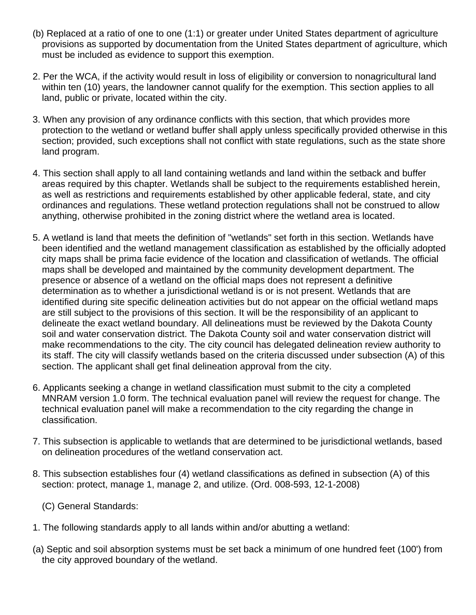- (b) Replaced at a ratio of one to one (1:1) or greater under United States department of agriculture provisions as supported by documentation from the United States department of agriculture, which must be included as evidence to support this exemption.
- 2. Per the WCA, if the activity would result in loss of eligibility or conversion to nonagricultural land within ten (10) years, the landowner cannot qualify for the exemption. This section applies to all land, public or private, located within the city.
- 3. When any provision of any ordinance conflicts with this section, that which provides more protection to the wetland or wetland buffer shall apply unless specifically provided otherwise in this section; provided, such exceptions shall not conflict with state regulations, such as the state shore land program.
- 4. This section shall apply to all land containing wetlands and land within the setback and buffer areas required by this chapter. Wetlands shall be subject to the requirements established herein, as well as restrictions and requirements established by other applicable federal, state, and city ordinances and regulations. These wetland protection regulations shall not be construed to allow anything, otherwise prohibited in the zoning district where the wetland area is located.
- 5. A wetland is land that meets the definition of "wetlands" set forth in this section. Wetlands have been identified and the wetland management classification as established by the officially adopted city maps shall be prima facie evidence of the location and classification of wetlands. The official maps shall be developed and maintained by the community development department. The presence or absence of a wetland on the official maps does not represent a definitive determination as to whether a jurisdictional wetland is or is not present. Wetlands that are identified during site specific delineation activities but do not appear on the official wetland maps are still subject to the provisions of this section. It will be the responsibility of an applicant to delineate the exact wetland boundary. All delineations must be reviewed by the Dakota County soil and water conservation district. The Dakota County soil and water conservation district will make recommendations to the city. The city council has delegated delineation review authority to its staff. The city will classify wetlands based on the criteria discussed under subsection (A) of this section. The applicant shall get final delineation approval from the city.
- 6. Applicants seeking a change in wetland classification must submit to the city a completed MNRAM version 1.0 form. The technical evaluation panel will review the request for change. The technical evaluation panel will make a recommendation to the city regarding the change in classification.
- 7. This subsection is applicable to wetlands that are determined to be jurisdictional wetlands, based on delineation procedures of the wetland conservation act.
- 8. This subsection establishes four (4) wetland classifications as defined in subsection (A) of this section: protect, manage 1, manage 2, and utilize. (Ord. 008-593, 12-1-2008)

(C) General Standards:

- 1. The following standards apply to all lands within and/or abutting a wetland:
- (a) Septic and soil absorption systems must be set back a minimum of one hundred feet (100') from the city approved boundary of the wetland.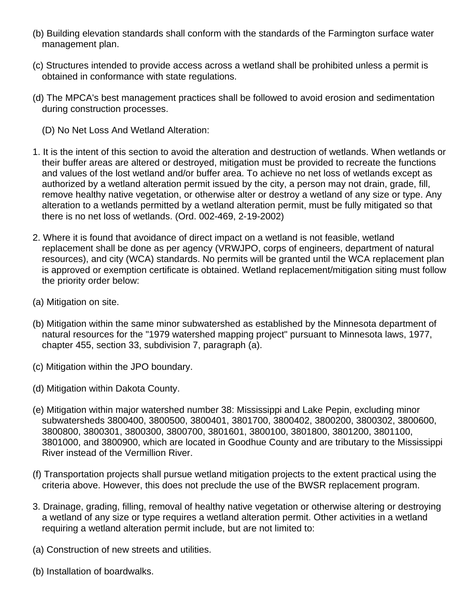- (b) Building elevation standards shall conform with the standards of the Farmington surface water management plan.
- (c) Structures intended to provide access across a wetland shall be prohibited unless a permit is obtained in conformance with state regulations.
- (d) The MPCA's best management practices shall be followed to avoid erosion and sedimentation during construction processes.
	- (D) No Net Loss And Wetland Alteration:
- 1. It is the intent of this section to avoid the alteration and destruction of wetlands. When wetlands or their buffer areas are altered or destroyed, mitigation must be provided to recreate the functions and values of the lost wetland and/or buffer area. To achieve no net loss of wetlands except as authorized by a wetland alteration permit issued by the city, a person may not drain, grade, fill, remove healthy native vegetation, or otherwise alter or destroy a wetland of any size or type. Any alteration to a wetlands permitted by a wetland alteration permit, must be fully mitigated so that there is no net loss of wetlands. (Ord. 002-469, 2-19-2002)
- 2. Where it is found that avoidance of direct impact on a wetland is not feasible, wetland replacement shall be done as per agency (VRWJPO, corps of engineers, department of natural resources), and city (WCA) standards. No permits will be granted until the WCA replacement plan is approved or exemption certificate is obtained. Wetland replacement/mitigation siting must follow the priority order below:
- (a) Mitigation on site.
- (b) Mitigation within the same minor subwatershed as established by the Minnesota department of natural resources for the "1979 watershed mapping project" pursuant to Minnesota laws, 1977, chapter 455, section 33, subdivision 7, paragraph (a).
- (c) Mitigation within the JPO boundary.
- (d) Mitigation within Dakota County.
- (e) Mitigation within major watershed number 38: Mississippi and Lake Pepin, excluding minor subwatersheds 3800400, 3800500, 3800401, 3801700, 3800402, 3800200, 3800302, 3800600, 3800800, 3800301, 3800300, 3800700, 3801601, 3800100, 3801800, 3801200, 3801100, 3801000, and 3800900, which are located in Goodhue County and are tributary to the Mississippi River instead of the Vermillion River.
- (f) Transportation projects shall pursue wetland mitigation projects to the extent practical using the criteria above. However, this does not preclude the use of the BWSR replacement program.
- 3. Drainage, grading, filling, removal of healthy native vegetation or otherwise altering or destroying a wetland of any size or type requires a wetland alteration permit. Other activities in a wetland requiring a wetland alteration permit include, but are not limited to:
- (a) Construction of new streets and utilities.
- (b) Installation of boardwalks.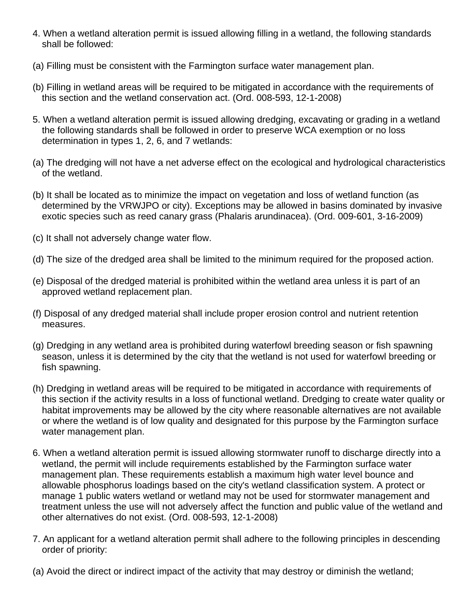- 4. When a wetland alteration permit is issued allowing filling in a wetland, the following standards shall be followed:
- (a) Filling must be consistent with the Farmington surface water management plan.
- (b) Filling in wetland areas will be required to be mitigated in accordance with the requirements of this section and the wetland conservation act. (Ord. 008-593, 12-1-2008)
- 5. When a wetland alteration permit is issued allowing dredging, excavating or grading in a wetland the following standards shall be followed in order to preserve WCA exemption or no loss determination in types 1, 2, 6, and 7 wetlands:
- (a) The dredging will not have a net adverse effect on the ecological and hydrological characteristics of the wetland.
- (b) It shall be located as to minimize the impact on vegetation and loss of wetland function (as determined by the VRWJPO or city). Exceptions may be allowed in basins dominated by invasive exotic species such as reed canary grass (Phalaris arundinacea). (Ord. 009-601, 3-16-2009)
- (c) It shall not adversely change water flow.
- (d) The size of the dredged area shall be limited to the minimum required for the proposed action.
- (e) Disposal of the dredged material is prohibited within the wetland area unless it is part of an approved wetland replacement plan.
- (f) Disposal of any dredged material shall include proper erosion control and nutrient retention measures.
- (g) Dredging in any wetland area is prohibited during waterfowl breeding season or fish spawning season, unless it is determined by the city that the wetland is not used for waterfowl breeding or fish spawning.
- (h) Dredging in wetland areas will be required to be mitigated in accordance with requirements of this section if the activity results in a loss of functional wetland. Dredging to create water quality or habitat improvements may be allowed by the city where reasonable alternatives are not available or where the wetland is of low quality and designated for this purpose by the Farmington surface water management plan.
- 6. When a wetland alteration permit is issued allowing stormwater runoff to discharge directly into a wetland, the permit will include requirements established by the Farmington surface water management plan. These requirements establish a maximum high water level bounce and allowable phosphorus loadings based on the city's wetland classification system. A protect or manage 1 public waters wetland or wetland may not be used for stormwater management and treatment unless the use will not adversely affect the function and public value of the wetland and other alternatives do not exist. (Ord. 008-593, 12-1-2008)
- 7. An applicant for a wetland alteration permit shall adhere to the following principles in descending order of priority:
- (a) Avoid the direct or indirect impact of the activity that may destroy or diminish the wetland;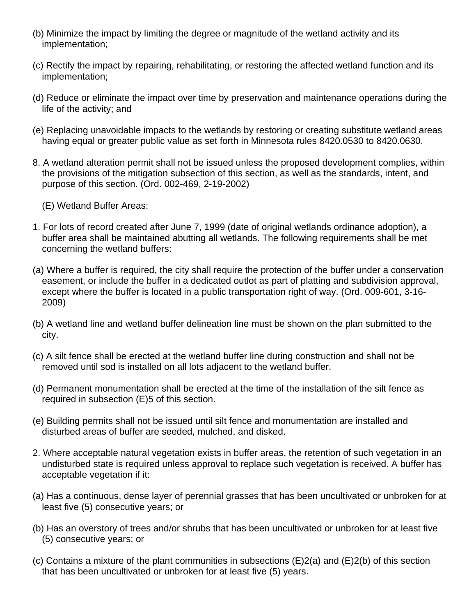- (b) Minimize the impact by limiting the degree or magnitude of the wetland activity and its implementation;
- (c) Rectify the impact by repairing, rehabilitating, or restoring the affected wetland function and its implementation;
- (d) Reduce or eliminate the impact over time by preservation and maintenance operations during the life of the activity; and
- (e) Replacing unavoidable impacts to the wetlands by restoring or creating substitute wetland areas having equal or greater public value as set forth in Minnesota rules 8420.0530 to 8420.0630.
- 8. A wetland alteration permit shall not be issued unless the proposed development complies, within the provisions of the mitigation subsection of this section, as well as the standards, intent, and purpose of this section. (Ord. 002-469, 2-19-2002)
	- (E) Wetland Buffer Areas:
- 1. For lots of record created after June 7, 1999 (date of original wetlands ordinance adoption), a buffer area shall be maintained abutting all wetlands. The following requirements shall be met concerning the wetland buffers:
- (a) Where a buffer is required, the city shall require the protection of the buffer under a conservation easement, or include the buffer in a dedicated outlot as part of platting and subdivision approval, except where the buffer is located in a public transportation right of way. (Ord. 009-601, 3-16- 2009)
- (b) A wetland line and wetland buffer delineation line must be shown on the plan submitted to the city.
- (c) A silt fence shall be erected at the wetland buffer line during construction and shall not be removed until sod is installed on all lots adjacent to the wetland buffer.
- (d) Permanent monumentation shall be erected at the time of the installation of the silt fence as required in subsection (E)5 of this section.
- (e) Building permits shall not be issued until silt fence and monumentation are installed and disturbed areas of buffer are seeded, mulched, and disked.
- 2. Where acceptable natural vegetation exists in buffer areas, the retention of such vegetation in an undisturbed state is required unless approval to replace such vegetation is received. A buffer has acceptable vegetation if it:
- (a) Has a continuous, dense layer of perennial grasses that has been uncultivated or unbroken for at least five (5) consecutive years; or
- (b) Has an overstory of trees and/or shrubs that has been uncultivated or unbroken for at least five (5) consecutive years; or
- (c) Contains a mixture of the plant communities in subsections (E)2(a) and (E)2(b) of this section that has been uncultivated or unbroken for at least five (5) years.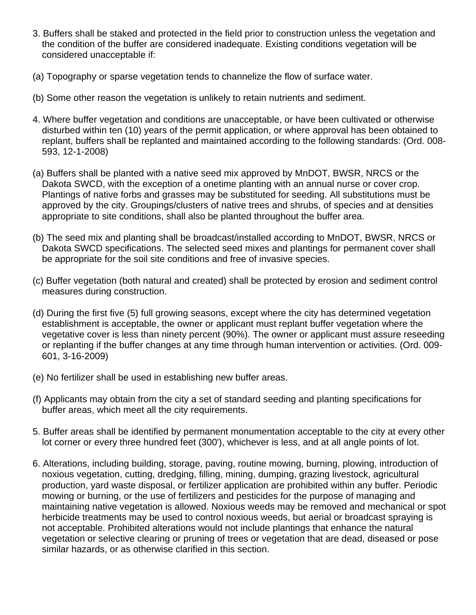- 3. Buffers shall be staked and protected in the field prior to construction unless the vegetation and the condition of the buffer are considered inadequate. Existing conditions vegetation will be considered unacceptable if:
- (a) Topography or sparse vegetation tends to channelize the flow of surface water.
- (b) Some other reason the vegetation is unlikely to retain nutrients and sediment.
- 4. Where buffer vegetation and conditions are unacceptable, or have been cultivated or otherwise disturbed within ten (10) years of the permit application, or where approval has been obtained to replant, buffers shall be replanted and maintained according to the following standards: (Ord. 008- 593, 12-1-2008)
- (a) Buffers shall be planted with a native seed mix approved by MnDOT, BWSR, NRCS or the Dakota SWCD, with the exception of a onetime planting with an annual nurse or cover crop. Plantings of native forbs and grasses may be substituted for seeding. All substitutions must be approved by the city. Groupings/clusters of native trees and shrubs, of species and at densities appropriate to site conditions, shall also be planted throughout the buffer area.
- (b) The seed mix and planting shall be broadcast/installed according to MnDOT, BWSR, NRCS or Dakota SWCD specifications. The selected seed mixes and plantings for permanent cover shall be appropriate for the soil site conditions and free of invasive species.
- (c) Buffer vegetation (both natural and created) shall be protected by erosion and sediment control measures during construction.
- (d) During the first five (5) full growing seasons, except where the city has determined vegetation establishment is acceptable, the owner or applicant must replant buffer vegetation where the vegetative cover is less than ninety percent (90%). The owner or applicant must assure reseeding or replanting if the buffer changes at any time through human intervention or activities. (Ord. 009- 601, 3-16-2009)
- (e) No fertilizer shall be used in establishing new buffer areas.
- (f) Applicants may obtain from the city a set of standard seeding and planting specifications for buffer areas, which meet all the city requirements.
- 5. Buffer areas shall be identified by permanent monumentation acceptable to the city at every other lot corner or every three hundred feet (300'), whichever is less, and at all angle points of lot.
- 6. Alterations, including building, storage, paving, routine mowing, burning, plowing, introduction of noxious vegetation, cutting, dredging, filling, mining, dumping, grazing livestock, agricultural production, yard waste disposal, or fertilizer application are prohibited within any buffer. Periodic mowing or burning, or the use of fertilizers and pesticides for the purpose of managing and maintaining native vegetation is allowed. Noxious weeds may be removed and mechanical or spot herbicide treatments may be used to control noxious weeds, but aerial or broadcast spraying is not acceptable. Prohibited alterations would not include plantings that enhance the natural vegetation or selective clearing or pruning of trees or vegetation that are dead, diseased or pose similar hazards, or as otherwise clarified in this section.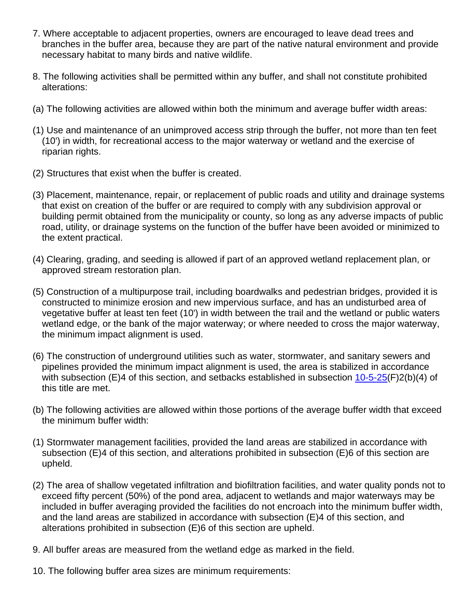- 7. Where acceptable to adjacent properties, owners are encouraged to leave dead trees and branches in the buffer area, because they are part of the native natural environment and provide necessary habitat to many birds and native wildlife.
- 8. The following activities shall be permitted within any buffer, and shall not constitute prohibited alterations:
- (a) The following activities are allowed within both the minimum and average buffer width areas:
- (1) Use and maintenance of an unimproved access strip through the buffer, not more than ten feet (10') in width, for recreational access to the major waterway or wetland and the exercise of riparian rights.
- (2) Structures that exist when the buffer is created.
- (3) Placement, maintenance, repair, or replacement of public roads and utility and drainage systems that exist on creation of the buffer or are required to comply with any subdivision approval or building permit obtained from the municipality or county, so long as any adverse impacts of public road, utility, or drainage systems on the function of the buffer have been avoided or minimized to the extent practical.
- (4) Clearing, grading, and seeding is allowed if part of an approved wetland replacement plan, or approved stream restoration plan.
- (5) Construction of a multipurpose trail, including boardwalks and pedestrian bridges, provided it is constructed to minimize erosion and new impervious surface, and has an undisturbed area of vegetative buffer at least ten feet (10') in width between the trail and the wetland or public waters wetland edge, or the bank of the major waterway; or where needed to cross the major waterway, the minimum impact alignment is used.
- (6) The construction of underground utilities such as water, stormwater, and sanitary sewers and pipelines provided the minimum impact alignment is used, the area is stabilized in accordance with subsection (E)4 of this section, and setbacks established in subsection [10-5-25](http://www.sterlingcodifiers.com/codebook/?ft=3&find=10-5-25)(F)2(b)(4) of this title are met.
- (b) The following activities are allowed within those portions of the average buffer width that exceed the minimum buffer width:
- (1) Stormwater management facilities, provided the land areas are stabilized in accordance with subsection (E)4 of this section, and alterations prohibited in subsection (E)6 of this section are upheld.
- (2) The area of shallow vegetated infiltration and biofiltration facilities, and water quality ponds not to exceed fifty percent (50%) of the pond area, adjacent to wetlands and major waterways may be included in buffer averaging provided the facilities do not encroach into the minimum buffer width, and the land areas are stabilized in accordance with subsection (E)4 of this section, and alterations prohibited in subsection (E)6 of this section are upheld.
- 9. All buffer areas are measured from the wetland edge as marked in the field.
- 10. The following buffer area sizes are minimum requirements: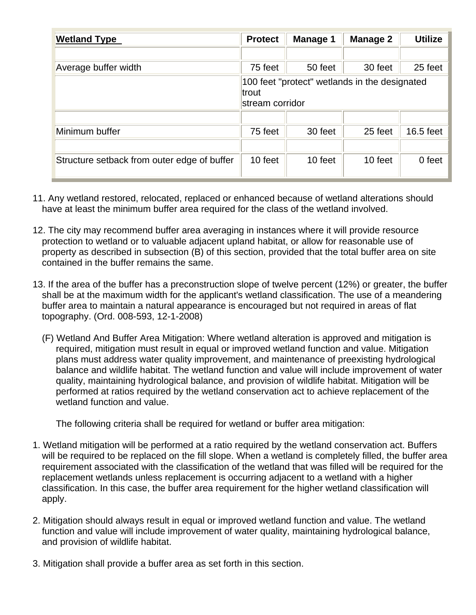| <b>Wetland Type</b>                         | <b>Protect</b>                                                            | <b>Manage 1</b> | <b>Manage 2</b> | <b>Utilize</b> |  |
|---------------------------------------------|---------------------------------------------------------------------------|-----------------|-----------------|----------------|--|
|                                             |                                                                           |                 |                 |                |  |
| Average buffer width                        | 75 feet                                                                   | 50 feet         | 30 feet         | 25 feet        |  |
|                                             | 100 feet "protect" wetlands in the designated<br>trout<br>stream corridor |                 |                 |                |  |
|                                             |                                                                           |                 |                 |                |  |
| Minimum buffer                              | 75 feet                                                                   | 30 feet         | 25 feet         | 16.5 feet      |  |
|                                             |                                                                           |                 |                 |                |  |
| Structure setback from outer edge of buffer | 10 feet                                                                   | 10 feet         | 10 feet         | 0 feet         |  |

- 11. Any wetland restored, relocated, replaced or enhanced because of wetland alterations should have at least the minimum buffer area required for the class of the wetland involved.
- 12. The city may recommend buffer area averaging in instances where it will provide resource protection to wetland or to valuable adjacent upland habitat, or allow for reasonable use of property as described in subsection (B) of this section, provided that the total buffer area on site contained in the buffer remains the same.
- 13. If the area of the buffer has a preconstruction slope of twelve percent (12%) or greater, the buffer shall be at the maximum width for the applicant's wetland classification. The use of a meandering buffer area to maintain a natural appearance is encouraged but not required in areas of flat topography. (Ord. 008-593, 12-1-2008)
	- (F) Wetland And Buffer Area Mitigation: Where wetland alteration is approved and mitigation is required, mitigation must result in equal or improved wetland function and value. Mitigation plans must address water quality improvement, and maintenance of preexisting hydrological balance and wildlife habitat. The wetland function and value will include improvement of water quality, maintaining hydrological balance, and provision of wildlife habitat. Mitigation will be performed at ratios required by the wetland conservation act to achieve replacement of the wetland function and value.

The following criteria shall be required for wetland or buffer area mitigation:

- 1. Wetland mitigation will be performed at a ratio required by the wetland conservation act. Buffers will be required to be replaced on the fill slope. When a wetland is completely filled, the buffer area requirement associated with the classification of the wetland that was filled will be required for the replacement wetlands unless replacement is occurring adjacent to a wetland with a higher classification. In this case, the buffer area requirement for the higher wetland classification will apply.
- 2. Mitigation should always result in equal or improved wetland function and value. The wetland function and value will include improvement of water quality, maintaining hydrological balance, and provision of wildlife habitat.
- 3. Mitigation shall provide a buffer area as set forth in this section.